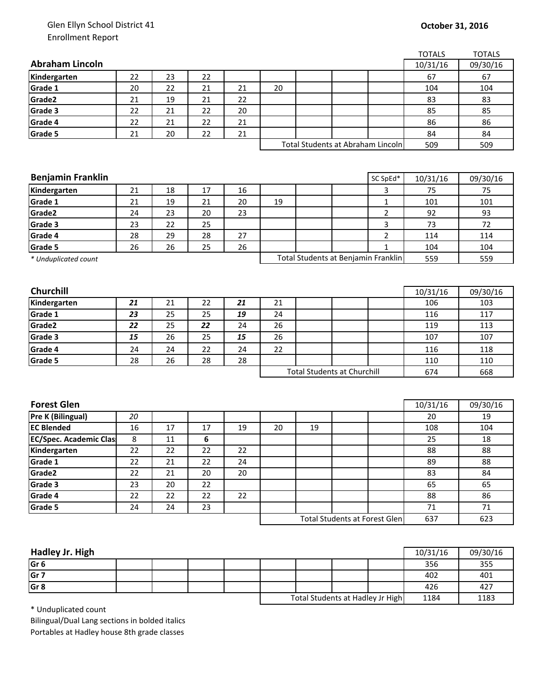## Glen Ellyn School District 41 Enrollment Report

|                                    |                                   |        |    |    |    |    |                                      |                | <b>TOTALS</b> | <b>TOTALS</b> |
|------------------------------------|-----------------------------------|--------|----|----|----|----|--------------------------------------|----------------|---------------|---------------|
| <b>Abraham Lincoln</b>             |                                   |        |    |    |    |    |                                      |                | 10/31/16      | 09/30/16      |
| Kindergarten                       | 22                                | 23     | 22 |    |    |    |                                      |                | 67            | 67            |
| Grade 1                            | 20                                | 22     | 21 | 21 | 20 |    |                                      |                | 104           | 104           |
| Grade2                             | 21                                | 19     | 21 | 22 |    |    |                                      |                | 83            | 83            |
| Grade 3                            | 22                                | 21     | 22 | 20 |    |    |                                      |                | 85            | 85            |
| Grade 4                            | 22                                | 21     | 22 | 21 |    |    |                                      |                | 86            | 86            |
| Grade 5                            | 21                                | 20     | 22 | 21 |    |    |                                      |                | 84            | 84            |
|                                    | Total Students at Abraham Lincoln |        |    |    |    |    |                                      | 509            |               |               |
|                                    |                                   |        |    |    |    |    |                                      |                |               |               |
|                                    |                                   |        |    |    |    |    |                                      |                |               |               |
| <b>Benjamin Franklin</b>           |                                   |        |    |    |    |    |                                      | SC SpEd*       | 10/31/16      | 09/30/16      |
| Kindergarten                       | 21                                | 18     | 17 | 16 |    |    |                                      | 3              | 75            | 75            |
| Grade 1                            | 21                                | 19     | 21 | 20 | 19 |    |                                      | $\mathbf 1$    | 101           | 101           |
| Grade2                             | 24                                | 23     | 20 | 23 |    |    |                                      | $\overline{2}$ | 92            | 93            |
| Grade 3                            | 23                                | 22     | 25 |    |    |    |                                      | 3              | 73            | 72            |
| Grade 4                            | 28                                | 29     | 28 | 27 |    |    |                                      | $\overline{2}$ | 114           | 114           |
| Grade 5                            | 26                                | 26     | 25 | 26 |    |    |                                      | $\mathbf{1}$   | 104           | 104           |
| * Unduplicated count               |                                   |        |    |    |    |    | Total Students at Benjamin Franklin  |                | 559           | 559           |
|                                    |                                   |        |    |    |    |    |                                      |                |               |               |
|                                    |                                   |        |    |    |    |    |                                      |                |               |               |
| Churchill                          |                                   |        |    |    |    |    |                                      |                | 10/31/16      | 09/30/16      |
| Kindergarten                       | 21                                | 21     | 22 | 21 | 21 |    |                                      |                | 106           | 103           |
| Grade 1                            | 23                                | 25     | 25 | 19 | 24 |    |                                      |                | 116           | 117           |
| Grade2                             | 22                                | 25     | 22 | 24 | 26 |    |                                      |                | 119           | 113           |
| Grade 3                            | 15                                | 26     | 25 | 15 | 26 |    |                                      |                | 107           | 107           |
| Grade 4                            | 24                                | 24     | 22 | 24 | 22 |    |                                      |                | 116           | 118           |
| Grade 5                            | 28                                | 26     | 28 | 28 |    |    |                                      |                | 110           | 110           |
| <b>Total Students at Churchill</b> |                                   |        |    |    |    |    | 674                                  | 668            |               |               |
|                                    |                                   |        |    |    |    |    |                                      |                |               |               |
| <b>Forest Glen</b>                 |                                   |        |    |    |    |    |                                      |                | 10/31/16      | 09/30/16      |
| Pre K (Bilingual)                  | 20                                |        |    |    |    |    |                                      |                | 20            | 19            |
| <b>EC Blended</b>                  | 16                                | 17     | 17 | 19 | 20 | 19 |                                      |                | 108           | 104           |
| <b>EC/Spec. Academic Clas</b>      | 8                                 | $11\,$ | 6  |    |    |    |                                      |                | 25            | 18            |
| Kindergarten                       | 22                                | 22     | 22 | 22 |    |    |                                      |                | 88            | 88            |
| Grade 1                            | 22                                | 21     | 22 | 24 |    |    |                                      |                | 89            | 88            |
| Grade2                             | 22                                | 21     | 20 | 20 |    |    |                                      |                | 83            | 84            |
| Grade 3                            | 23                                | 20     | 22 |    |    |    |                                      |                | 65            | 65            |
| Grade 4                            | 22                                | 22     | 22 | 22 |    |    |                                      |                | 88            | 86            |
| Grade 5                            | 24                                | 24     | 23 |    |    |    |                                      |                | 71            | 71            |
|                                    |                                   |        |    |    |    |    | <b>Total Students at Forest Glen</b> |                | 637           | 623           |
|                                    |                                   |        |    |    |    |    |                                      |                |               |               |

| Hadley Jr. High |  |  |                                  |  |      | 10/31/16 | 09/30/16 |
|-----------------|--|--|----------------------------------|--|------|----------|----------|
|                 |  |  |                                  |  |      |          |          |
| Gr <sub>6</sub> |  |  |                                  |  |      | 356      | 355      |
| Gr <sub>7</sub> |  |  |                                  |  |      | 402      | 401      |
| Gr <sub>8</sub> |  |  |                                  |  |      | 426      | 427      |
|                 |  |  | Total Students at Hadley Jr High |  | 1184 | 1183     |          |

\* Unduplicated count

Bilingual/Dual Lang sections in bolded italics Portables at Hadley house 8th grade classes